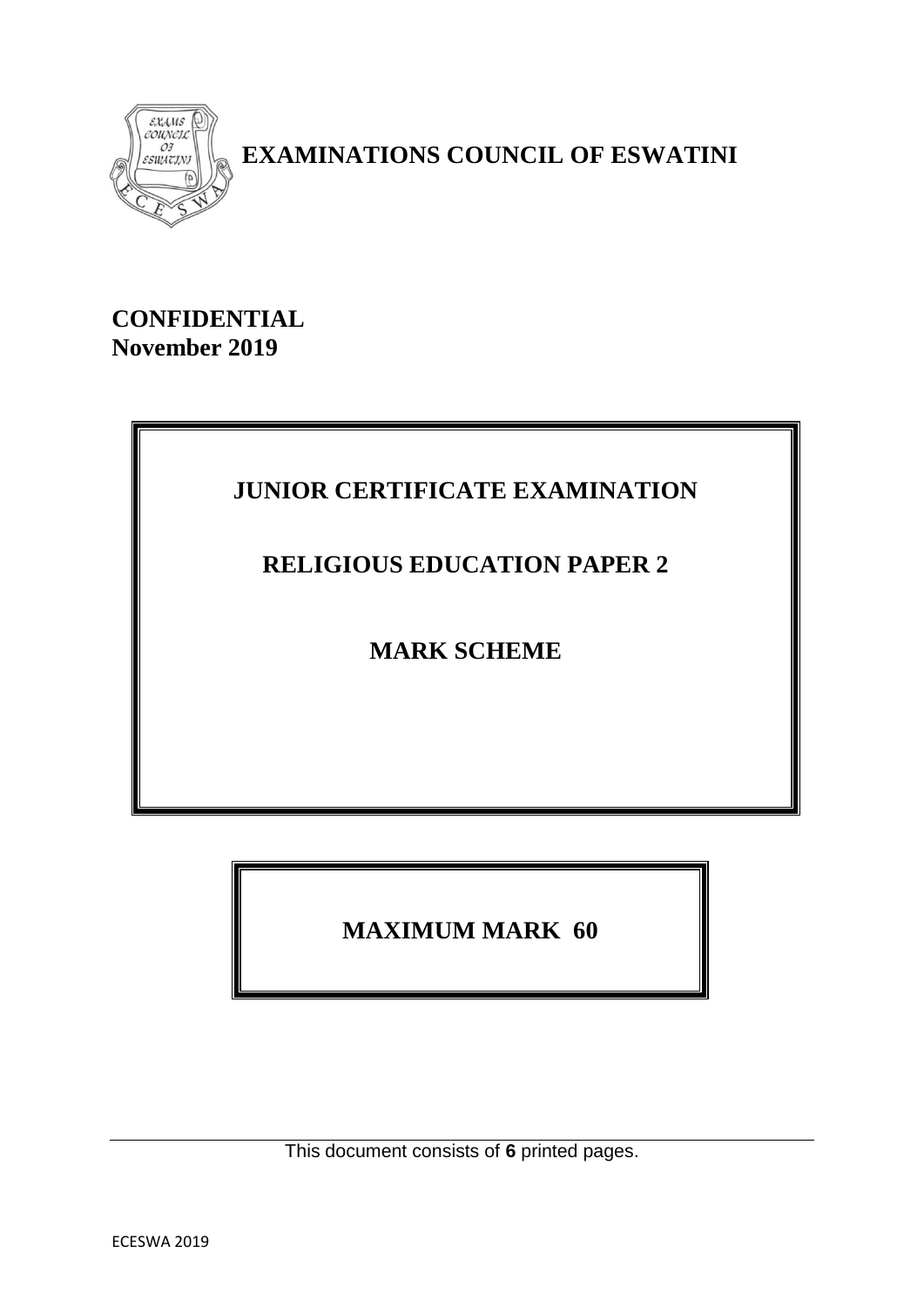

 **EXAMINATIONS COUNCIL OF ESWATINI**

# **CONFIDENTIAL November 2019**

# **JUNIOR CERTIFICATE EXAMINATION**

# **RELIGIOUS EDUCATION PAPER 2**

**MARK SCHEME**

**MAXIMUM MARK 60** 

This document consists of **6** printed pages.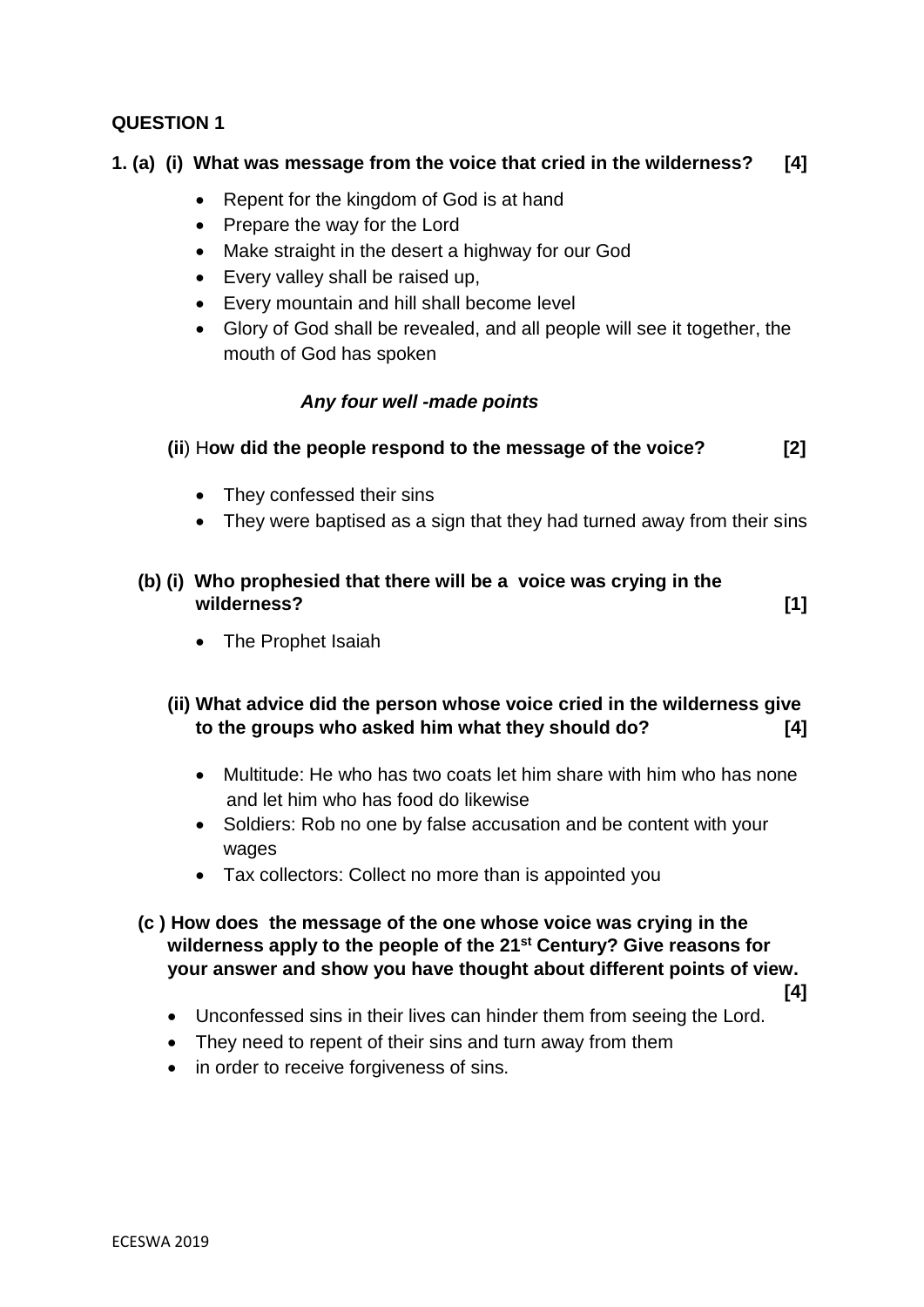#### **QUESTION 1**

#### **1. (a) (i) What was message from the voice that cried in the wilderness? [4]**

- Repent for the kingdom of God is at hand
- Prepare the way for the Lord
- Make straight in the desert a highway for our God
- Every valley shall be raised up,
- Every mountain and hill shall become level
- Glory of God shall be revealed, and all people will see it together, the mouth of God has spoken

#### *Any four well -made points*

#### **(ii**) H**ow did the people respond to the message of the voice? [2]**

- They confessed their sins
- They were baptised as a sign that they had turned away from their sins

## **(b) (i) Who prophesied that there will be a voice was crying in the**  wilderness? [1]

• The Prophet Isaiah

## **(ii) What advice did the person whose voice cried in the wilderness give to the groups who asked him what they should do? [4]**

- Multitude: He who has two coats let him share with him who has none and let him who has food do likewise
- Soldiers: Rob no one by false accusation and be content with your wages
- Tax collectors: Collect no more than is appointed you
- **(c ) How does the message of the one whose voice was crying in the wilderness apply to the people of the 21st Century? Give reasons for your answer and show you have thought about different points of view.**

 **[4]** 

- Unconfessed sins in their lives can hinder them from seeing the Lord.
- They need to repent of their sins and turn away from them
- in order to receive forgiveness of sins.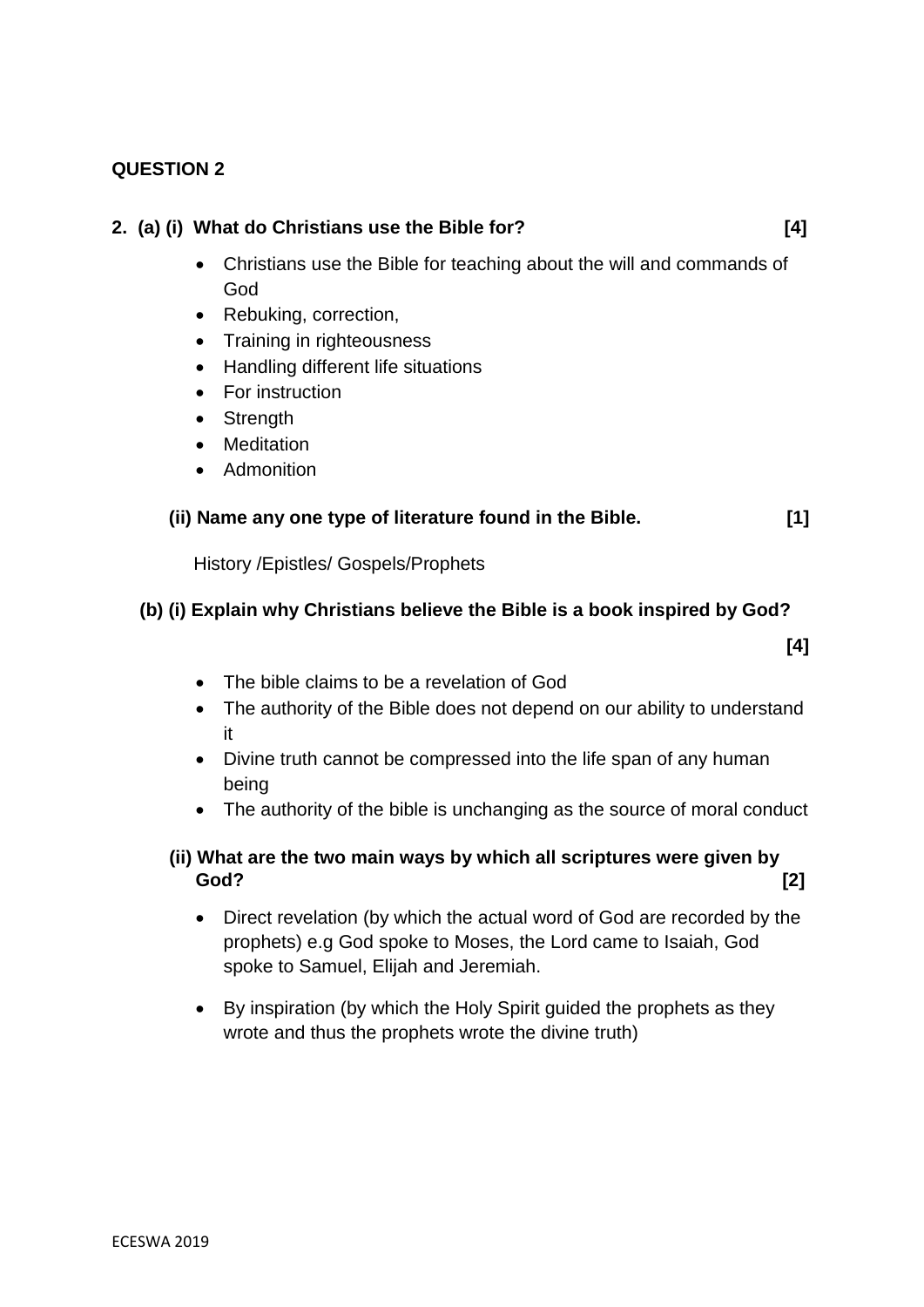#### **QUESTION 2**

# ECESWA 2019

# **2. (a) (i) What do Christians use the Bible for? [4]**

- Christians use the Bible for teaching about the will and commands of God
- Rebuking, correction,
- Training in righteousness
- Handling different life situations
- For instruction
- Strength
- Meditation
- Admonition

#### **(ii) Name any one type of literature found in the Bible. [1]**

History /Epistles/ Gospels/Prophets

#### **(b) (i) Explain why Christians believe the Bible is a book inspired by God?**

- **[4]** 
	- The bible claims to be a revelation of God
	- The authority of the Bible does not depend on our ability to understand it
	- Divine truth cannot be compressed into the life span of any human being
	- The authority of the bible is unchanging as the source of moral conduct

#### **(ii) What are the two main ways by which all scriptures were given by God? [2]**

- Direct revelation (by which the actual word of God are recorded by the prophets) e.g God spoke to Moses, the Lord came to Isaiah, God spoke to Samuel, Elijah and Jeremiah.
- By inspiration (by which the Holy Spirit guided the prophets as they wrote and thus the prophets wrote the divine truth)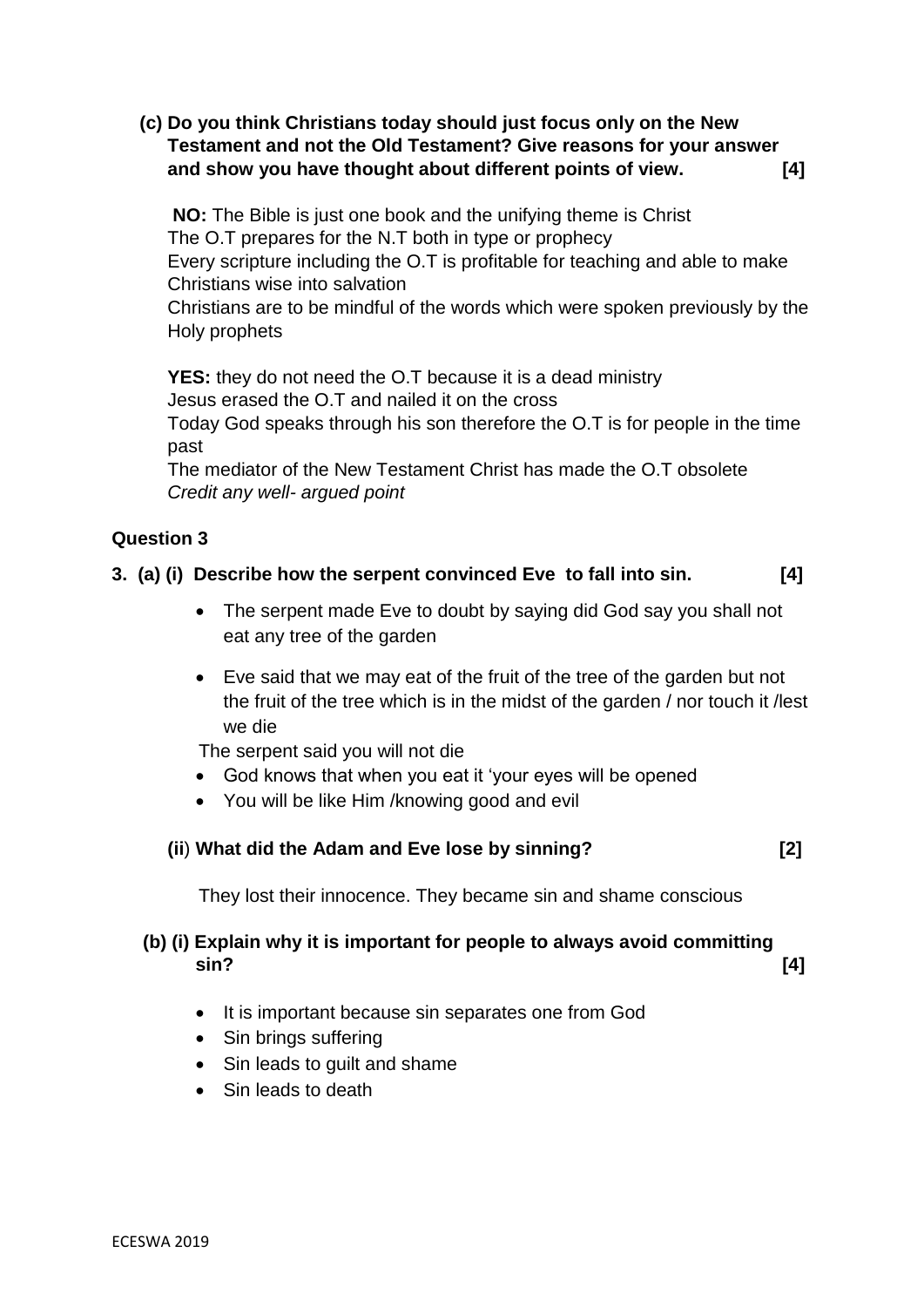#### **(c) Do you think Christians today should just focus only on the New Testament and not the Old Testament? Give reasons for your answer and show you have thought about different points of view. [4]**

**NO:** The Bible is just one book and the unifying theme is Christ The O.T prepares for the N.T both in type or prophecy Every scripture including the O.T is profitable for teaching and able to make Christians wise into salvation Christians are to be mindful of the words which were spoken previously by the Holy prophets

**YES:** they do not need the O.T because it is a dead ministry Jesus erased the O.T and nailed it on the cross Today God speaks through his son therefore the O.T is for people in the time past The mediator of the New Testament Christ has made the O.T obsolete

*Credit any well- argued point* 

#### **Question 3**

## **3. (a) (i) Describe how the serpent convinced Eve to fall into sin. [4]**

- The serpent made Eve to doubt by saying did God say you shall not eat any tree of the garden
- Eve said that we may eat of the fruit of the tree of the garden but not the fruit of the tree which is in the midst of the garden / nor touch it /lest we die

The serpent said you will not die

- God knows that when you eat it 'your eyes will be opened
- You will be like Him /knowing good and evil
- **(ii**) **What did the Adam and Eve lose by sinning? [2]**

They lost their innocence. They became sin and shame conscious

## **(b) (i) Explain why it is important for people to always avoid committing sin? [4]**

- It is important because sin separates one from God
- Sin brings suffering
- Sin leads to quilt and shame
- Sin leads to death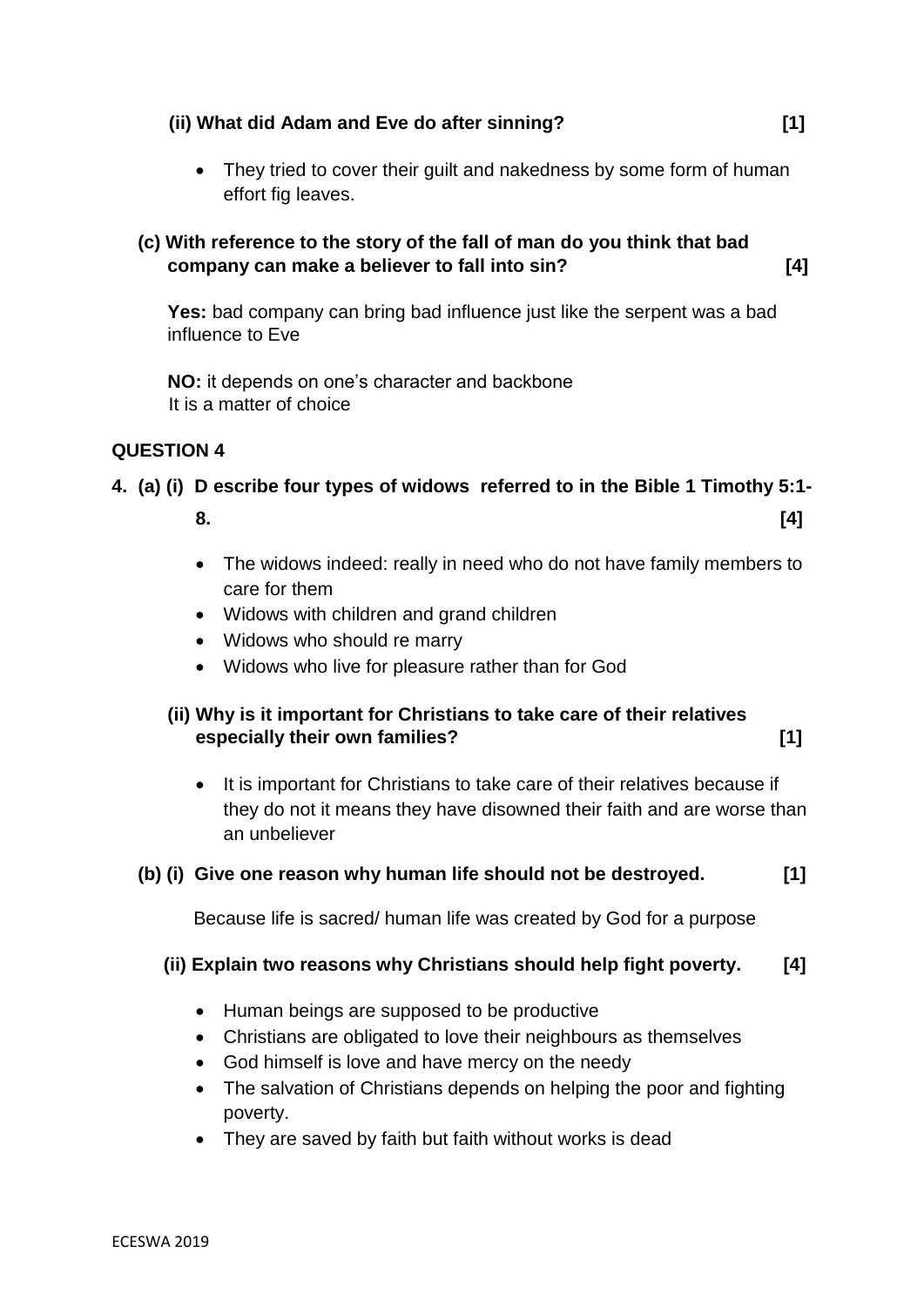# ECESWA 2019

#### **(ii) What did Adam and Eve do after sinning? [1]**

• They tried to cover their guilt and nakedness by some form of human effort fig leaves.

#### **(c) With reference to the story of the fall of man do you think that bad company can make a believer to fall into sin? [4]**

**Yes:** bad company can bring bad influence just like the serpent was a bad influence to Eve

**NO:** it depends on one's character and backbone It is a matter of choice

## **QUESTION 4**

## **4. (a) (i) D escribe four types of widows referred to in the Bible 1 Timothy 5:1-**

**8. [4]** 

- The widows indeed: really in need who do not have family members to care for them
- Widows with children and grand children
- Widows who should re marry
- Widows who live for pleasure rather than for God

## **(ii) Why is it important for Christians to take care of their relatives especially their own families? [1]**

• It is important for Christians to take care of their relatives because if they do not it means they have disowned their faith and are worse than an unbeliever

#### **(b) (i) Give one reason why human life should not be destroyed. [1]**

Because life is sacred/ human life was created by God for a purpose

#### **(ii) Explain two reasons why Christians should help fight poverty. [4]**

- Human beings are supposed to be productive
- Christians are obligated to love their neighbours as themselves
- God himself is love and have mercy on the needy
- The salvation of Christians depends on helping the poor and fighting poverty.
- They are saved by faith but faith without works is dead